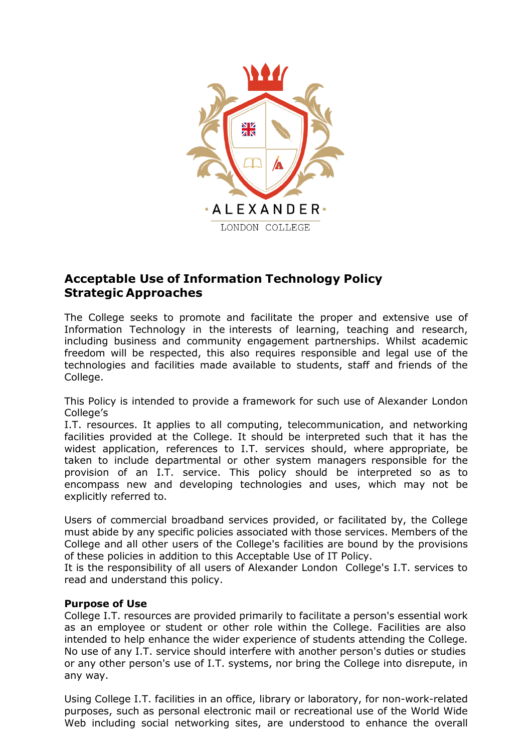

# **Acceptable Use of Information Technology Policy Strategic Approaches**

The College seeks to promote and facilitate the proper and extensive use of Information Technology in the interests of learning, teaching and research, including business and community engagement partnerships. Whilst academic freedom will be respected, this also requires responsible and legal use of the technologies and facilities made available to students, staff and friends of the College.

This Policy is intended to provide a framework for such use of Alexander London College's

I.T. resources. It applies to all computing, telecommunication, and networking facilities provided at the College. It should be interpreted such that it has the widest application, references to I.T. services should, where appropriate, be taken to include departmental or other system managers responsible for the provision of an I.T. service. This policy should be interpreted so as to encompass new and developing technologies and uses, which may not be explicitly referred to.

Users of commercial broadband services provided, or facilitated by, the College must abide by any specific policies associated with those services. Members of the College and all other users of the College's facilities are bound by the provisions of these policies in addition to this Acceptable Use of IT Policy.

It is the responsibility of all users of Alexander London College's I.T. services to read and understand this policy.

### **Purpose of Use**

College I.T. resources are provided primarily to facilitate a person's essential work as an employee or student or other role within the College. Facilities are also intended to help enhance the wider experience of students attending the College. No use of any I.T. service should interfere with another person's duties or studies or any other person's use of I.T. systems, nor bring the College into disrepute, in any way.

Using College I.T. facilities in an office, library or laboratory, for non-work-related purposes, such as personal electronic mail or recreational use of the World Wide Web including social networking sites, are understood to enhance the overall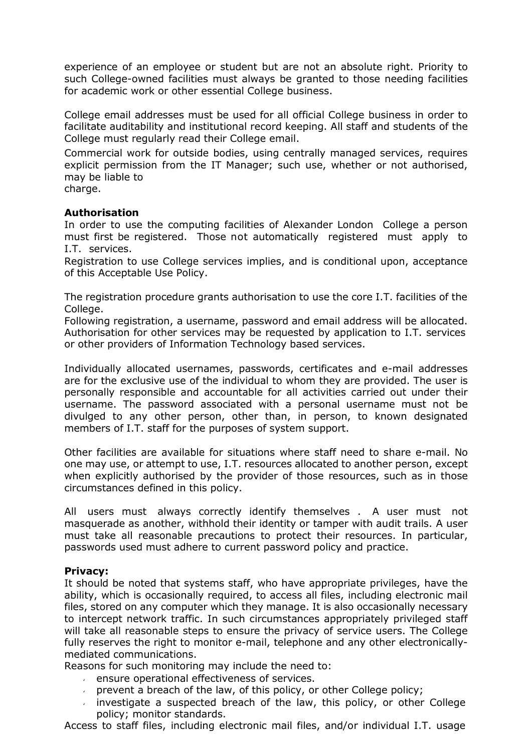experience of an employee or student but are not an absolute right. Priority to such College-owned facilities must always be granted to those needing facilities for academic work or other essential College business.

College email addresses must be used for all official College business in order to facilitate auditability and institutional record keeping. All staff and students of the College must regularly read their College email.

Commercial work for outside bodies, using centrally managed services, requires explicit permission from the IT Manager; such use, whether or not authorised, may be liable to charge.

## **Authorisation**

In order to use the computing facilities of Alexander London College a person must first be registered. Those not automatically registered must apply to I.T. services.

Registration to use College services implies, and is conditional upon, acceptance of this Acceptable Use Policy.

The registration procedure grants authorisation to use the core I.T. facilities of the College.

Following registration, a username, password and email address will be allocated. Authorisation for other services may be requested by application to I.T. services or other providers of Information Technology based services.

Individually allocated usernames, passwords, certificates and e-mail addresses are for the exclusive use of the individual to whom they are provided. The user is personally responsible and accountable for all activities carried out under their username. The password associated with a personal username must not be divulged to any other person, other than, in person, to known designated members of I.T. staff for the purposes of system support.

Other facilities are available for situations where staff need to share e-mail. No one may use, or attempt to use, I.T. resources allocated to another person, except when explicitly authorised by the provider of those resources, such as in those circumstances defined in this policy.

All users must always correctly identify themselves . A user must not masquerade as another, withhold their identity or tamper with audit trails. A user must take all reasonable precautions to protect their resources. In particular, passwords used must adhere to current password policy and practice.

#### **Privacy:**

It should be noted that systems staff, who have appropriate privileges, have the ability, which is occasionally required, to access all files, including electronic mail files, stored on any computer which they manage. It is also occasionally necessary to intercept network traffic. In such circumstances appropriately privileged staff will take all reasonable steps to ensure the privacy of service users. The College fully reserves the right to monitor e-mail, telephone and any other electronicallymediated communications.

Reasons for such monitoring may include the need to:

- ensure operational effectiveness of services.
- prevent a breach of the law, of this policy, or other College policy;
- investigate a suspected breach of the law, this policy, or other College policy; monitor standards.

Access to staff files, including electronic mail files, and/or individual I.T. usage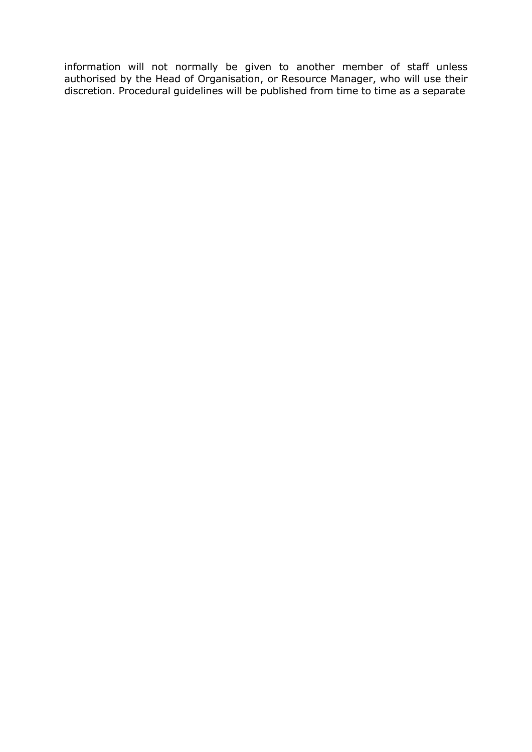information will not normally be given to another member of staff unless authorised by the Head of Organisation, or Resource Manager, who will use their discretion. Procedural guidelines will be published from time to time as a separate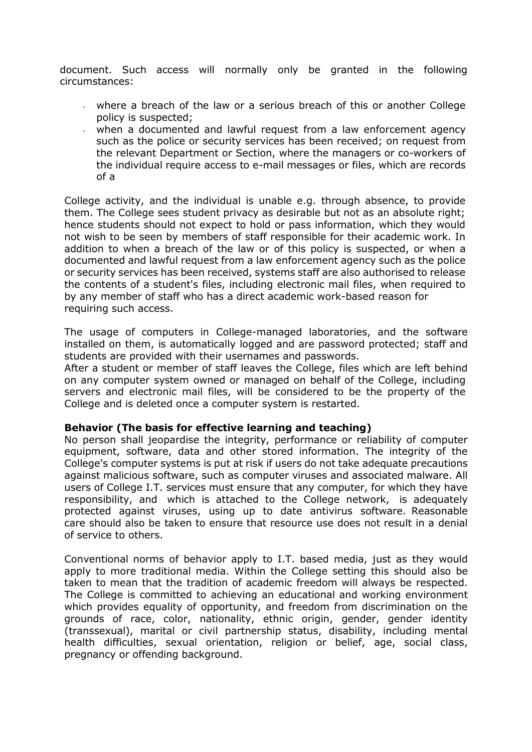document. Such access will normally only be granted in the following circumstances:

- where a breach of the law or a serious breach of this or another College policy is suspected;
- when a documented and lawful request from a law enforcement agency such as the police or security services has been received; on request from the relevant Department or Section, where the managers or co-workers of the individual require access to e-mail messages or files, which are records of a

College activity, and the individual is unable e.g. through absence, to provide them. The College sees student privacy as desirable but not as an absolute right; hence students should not expect to hold or pass information, which they would not wish to be seen by members of staff responsible for their academic work. In addition to when a breach of the law or of this policy is suspected, or when a documented and lawful request from a law enforcement agency such as the police or security services has been received, systems staff are also authorised to release the contents of a student's files, including electronic mail files, when required to by any member of staff who has a direct academic work-based reason for requiring such access.

The usage of computers in College-managed laboratories, and the software installed on them, is automatically logged and are password protected; staff and students are provided with their usernames and passwords.

After a student or member of staff leaves the College, files which are left behind on any computer system owned or managed on behalf of the College, including servers and electronic mail files, will be considered to be the property of the College and is deleted once a computer system is restarted.

#### **Behavior (The basis for effective learning and teaching)**

No person shall jeopardise the integrity, performance or reliability of computer equipment, software, data and other stored information. The integrity of the College's computer systems is put at risk if users do not take adequate precautions against malicious software, such as computer viruses and associated malware. All users of College I.T. services must ensure that any computer, for which they have responsibility, and which is attached to the College network, is adequately protected against viruses, using up to date antivirus software. Reasonable care should also be taken to ensure that resource use does not result in a denial of service to others.

Conventional norms of behavior apply to I.T. based media, just as they would apply to more traditional media. Within the College setting this should also be taken to mean that the tradition of academic freedom will always be respected. The College is committed to achieving an educational and working environment which provides equality of opportunity, and freedom from discrimination on the grounds of race, color, nationality, ethnic origin, gender, gender identity (transsexual), marital or civil partnership status, disability, including mental health difficulties, sexual orientation, religion or belief, age, social class, pregnancy or offending background.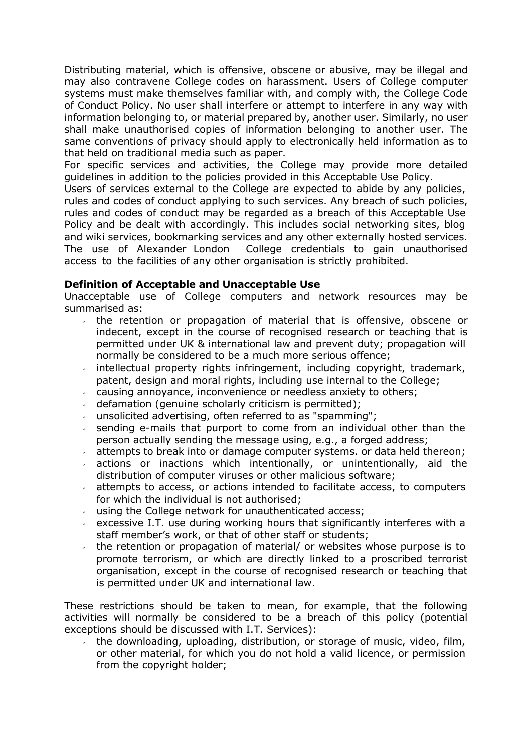Distributing material, which is offensive, obscene or abusive, may be illegal and may also contravene College codes on harassment. Users of College computer systems must make themselves familiar with, and comply with, the College Code of Conduct Policy. No user shall interfere or attempt to interfere in any way with information belonging to, or material prepared by, another user. Similarly, no user shall make unauthorised copies of information belonging to another user. The same conventions of privacy should apply to electronically held information as to that held on traditional media such as paper.

For specific services and activities, the College may provide more detailed guidelines in addition to the policies provided in this Acceptable Use Policy.

Users of services external to the College are expected to abide by any policies, rules and codes of conduct applying to such services. Any breach of such policies, rules and codes of conduct may be regarded as a breach of this Acceptable Use Policy and be dealt with accordingly. This includes social networking sites, blog and wiki services, bookmarking services and any other externally hosted services. The use of Alexander London College credentials to gain unauthorised access to the facilities of any other organisation is strictly prohibited.

#### **Definition of Acceptable and Unacceptable Use**

Unacceptable use of College computers and network resources may be summarised as:

- the retention or propagation of material that is offensive, obscene or indecent, except in the course of recognised research or teaching that is permitted under UK & international law and prevent duty; propagation will normally be considered to be a much more serious offence;
- intellectual property rights infringement, including copyright, trademark, patent, design and moral rights, including use internal to the College;
- causing annoyance, inconvenience or needless anxiety to others;  $\mathbf{v}$
- defamation (genuine scholarly criticism is permitted);
- unsolicited advertising, often referred to as "spamming";
- sending e-mails that purport to come from an individual other than the person actually sending the message using, e.g., a forged address;
- attempts to break into or damage computer systems. or data held thereon;
- actions or inactions which intentionally, or unintentionally, aid the distribution of computer viruses or other malicious software;
- attempts to access, or actions intended to facilitate access, to computers for which the individual is not authorised;
- using the College network for unauthenticated access;
- excessive I.T. use during working hours that significantly interferes with a staff member's work, or that of other staff or students;
- the retention or propagation of material/ or websites whose purpose is to promote terrorism, or which are directly linked to a proscribed terrorist organisation, except in the course of recognised research or teaching that is permitted under UK and international law.

These restrictions should be taken to mean, for example, that the following activities will normally be considered to be a breach of this policy (potential exceptions should be discussed with I.T. Services):

the downloading, uploading, distribution, or storage of music, video, film, or other material, for which you do not hold a valid licence, or permission from the copyright holder;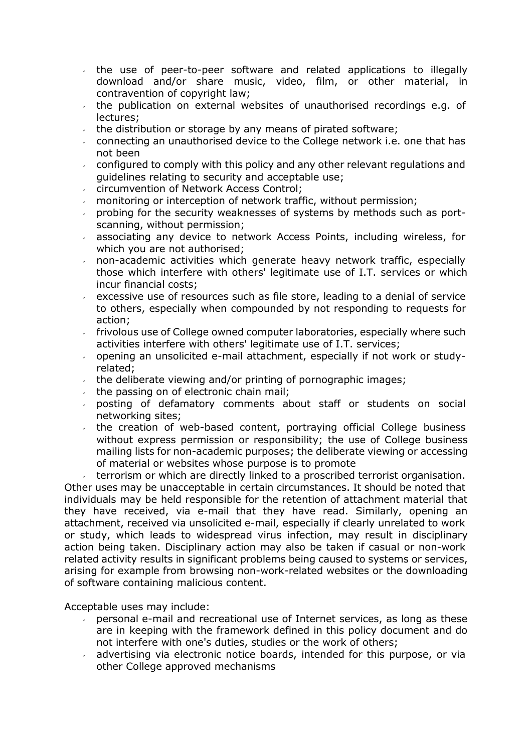- the use of peer-to-peer software and related applications to illegally  $\mathbf{v}^{(i)}$ download and/or share music, video, film, or other material, in contravention of copyright law;
- the publication on external websites of unauthorised recordings e.g. of  $\sqrt{2}$ lectures;
- the distribution or storage by any means of pirated software;  $\epsilon$
- connecting an unauthorised device to the College network i.e. one that has not been
- configured to comply with this policy and any other relevant regulations and  $\mathbf{v}^{(i)}$ guidelines relating to security and acceptable use;
- circumvention of Network Access Control;
- monitoring or interception of network traffic, without permission;
- probing for the security weaknesses of systems by methods such as portscanning, without permission;
- associating any device to network Access Points, including wireless, for  $\mathbf{v}$ which you are not authorised;
- non-academic activities which generate heavy network traffic, especially those which interfere with others' legitimate use of I.T. services or which incur financial costs;
- excessive use of resources such as file store, leading to a denial of service to others, especially when compounded by not responding to requests for action;
- frivolous use of College owned computer laboratories, especially where such  $\mathbf{v}$ activities interfere with others' legitimate use of I.T. services;
- opening an unsolicited e-mail attachment, especially if not work or study- $\mathbf{v}^{\left(1\right)}$ related;
- the deliberate viewing and/or printing of pornographic images;  $\mathbf{v}^{(i)}$
- the passing on of electronic chain mail;  $\mathbf{v}$
- posting of defamatory comments about staff or students on social  $\mathbf{v}$ networking sites;
- the creation of web-based content, portraying official College business  $\mathbf{v}^{(i)}$ without express permission or responsibility; the use of College business mailing lists for non-academic purposes; the deliberate viewing or accessing of material or websites whose purpose is to promote

terrorism or which are directly linked to a proscribed terrorist organisation. Other uses may be unacceptable in certain circumstances. It should be noted that individuals may be held responsible for the retention of attachment material that they have received, via e-mail that they have read. Similarly, opening an attachment, received via unsolicited e-mail, especially if clearly unrelated to work or study, which leads to widespread virus infection, may result in disciplinary action being taken. Disciplinary action may also be taken if casual or non-work related activity results in significant problems being caused to systems or services, arising for example from browsing non-work-related websites or the downloading of software containing malicious content.

Acceptable uses may include:

- personal e-mail and recreational use of Internet services, as long as these  $\mathbf{v}$ are in keeping with the framework defined in this policy document and do not interfere with one's duties, studies or the work of others;
- advertising via electronic notice boards, intended for this purpose, or via other College approved mechanisms